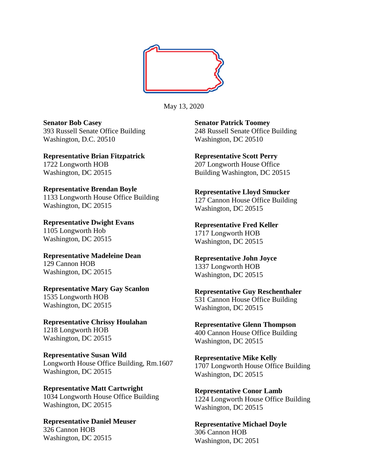

May 13, 2020

**Senator Bob Casey** 393 Russell Senate Office Building Washington, D.C. 20510

**Representative Brian Fitzpatrick** 1722 Longworth HOB Washington, DC 20515

**Representative Brendan Boyle** 1133 Longworth House Office Building Washington, DC 20515

**Representative Dwight Evans** 1105 Longworth Hob Washington, DC 20515

**Representative Madeleine Dean**  129 Cannon HOB Washington, DC 20515

**Representative Mary Gay Scanlon** 1535 Longworth HOB Washington, DC 20515

**Representative Chrissy Houlahan** 1218 Longworth HOB Washington, DC 20515

**Representative Susan Wild** Longworth House Office Building, Rm.1607 Washington, DC 20515

**Representative Matt Cartwright**  1034 Longworth House Office Building Washington, DC 20515

**Representative Daniel Meuser** 326 Cannon HOB Washington, DC 20515

**Senator Patrick Toomey** 248 Russell Senate Office Building Washington, DC 20510

**Representative Scott Perry** 207 Longworth House Office Building Washington, DC 20515

**Representative Lloyd Smucker** 127 Cannon House Office Building Washington, DC 20515

**Representative Fred Keller** 1717 Longworth HOB Washington, DC 20515

**Representative John Joyce** 1337 Longworth HOB Washington, DC 20515

**Representative Guy Reschenthaler** 531 Cannon House Office Building Washington, DC 20515

**Representative Glenn Thompson** 400 Cannon House Office Building Washington, DC 20515

**Representative Mike Kelly** 1707 Longworth House Office Building Washington, DC 20515

**Representative Conor Lamb** 1224 Longworth House Office Building Washington, DC 20515

**Representative Michael Doyle** 306 Cannon HOB Washington, DC 2051